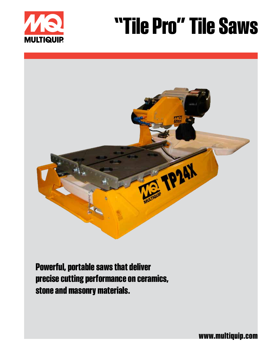

# **"Tile Pro" Tile Saws**



**Powerful, portable saws that deliver precise cutting performance on ceramics, stone and masonry materials.**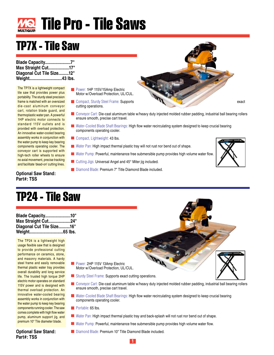

### **TP7X - Tile Saw**

**Blade Capacity......................7" Max Straight Cut..................17" Diagonal Cut Tile Size.........12" Weight............................43 lbs.**

The TP7X is a lightweight compact tile saw that provides power plus portability. The sturdy steel precision frame is matched with an oversized die-cast aluminum conveyor cart, rotation blade guard, and thermoplastic water pan. A powerful 1HP electric motor connects to standard 115V outlets and is provided with overload protection. An innovative water-cooled bearing assembly works in conjunction with the water pump to keep key bearing components operating cooler. The conveyor cart is supported with high-tech roller wheels to ensure no axial movement, precise tracking and facilitate 'dead-on' cutting lines.

**Optional Saw Stand: Part#: TSS**

- **Power: 1HP 115V/15Amp Electric** Motor w/Overload Protection, UL/CUL.
- **Compact, Sturdy Steel Frame: Supports exact Compact, Sturdy Steel Frame: Supports exact Compact Compact Compact Compact Compact Compact Compact Compact Compact Compact Compact Compact Compact Compact Compact Compact Compa** cutting operations.
- Conveyor Cart: Die-cast aluminum table w/heavy duty injected molded rubber padding, industrial ball bearing rollers ensure smooth, precise cart travel.
- Water-Cooled Blade Shaft Bearings: High flow water recirculating system designed to keep crucial bearing components operating cooler.
- Compact, Lightweight: 43 lbs.
- Water Pan: High impact thermal plastic tray will not rust nor bend out of shape.
- Water Pump: Powerful, maintenance free submersible pump provides high volume water flow.
- Cutting Jigs: Universal Angel and 45° Miter jig included.
- Diamond Blade: Premium 7" Title Diamond Blade included.



**TP24 - Tile Saw**

| Blade Capacity10"         |  |
|---------------------------|--|
| Max Straight Cut24"       |  |
| Diagonal Cut Tile Size16" |  |
|                           |  |

The TP24 is a lightweight high usage flexible saw that is designed to provide professional cutting performance on ceramics, stone, and masonry materials. A hardy steel frame and easily removable thermal plastic water tray provides overall durability and long service life. The trusted high torque 2HP electric motor operates on standard 115V power and is designed with thermal overload protection. An innovative water-cooled bearing assembly works in conjunction with the water pump to keep key bearing components running cooler. The saw comes complete with high flow water pump, aluminum support jig, and premium 10" Tile diameter blade.



- Conveyor Cart: Die-cast aluminum table w/heavy duty injected molded rubber padding, industrial ball bearing rollers ensure smooth, precise cart travel.
- Water-Cooled Blade Shaft Bearings: High flow water recirculating system designed to keep crucial bearing components operating cooler.
- Portable: 65 lbs.
- Water Pan: High impact thermal plastic tray and back-splash will not rust nor bend out of shape.
- Water Pump: Powerful, maintenance free submersible pump provides high volume water flow.

Diamond Blade: Premium 10" Title Diamond Blade included.

#### **Optional Saw Stand: Part#: TSS**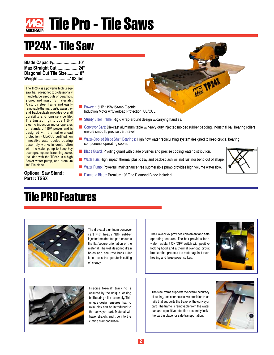

### **TP24X - Tile Saw**

**Blade Capacity......................10" Max Straight Cut...................24" Diagonal Cut Tile Size..........18" Weight............................103 lbs.**

The TP24X is a powerful high usage saw that is designed to professionally handle large sized cuts on ceramics, stone, and masonry materials. A sturdy steel frame and easily removable thermal plastic water tray and back-splash provides overall durability and long service life. The trusted high torque 1.5HP electric induction motor operates on standard 115V power and is designed with thermal overload protection - UL/CUL certified. An innovative water-cooled bearing assembly works in conjunction with the water pump to keep key bearing components running cooler. Included with the TP24X is a high flower water pump, and premium 10" Tile blade.

**Part#: TSSX**

- Power: 1.5HP 115V/15Amp Electric Induction Motor w/Overload Protection, UL/CUL.
- Sturdy Steel Frame: Rigid wrap-around design w/carrying handles.
- Conveyor Cart: Die-cast aluminum table w/heavy duty injected molded rubber padding, industrial ball bearing rollers ensure smooth, precise cart travel.

TP24X

- **Water-Cooled Blade Shaft Bearings: High flow water recirculating system designed to keep crucial bearing** components operating cooler.
- $\blacksquare$  Blade Guard: Pivoting guard with blade brushes and precise cooling water distribution.
- Water Pan: High impact thermal plastic tray and back-splash will not rust nor bend out of shape.
- Water Pump: Powerful, maintenance free submersible pump provides high volume water flow.
- **Optional Saw Stand: Diamond Blade: Premium 10" Title Diamond Blade included.**

#### **Tile PRO Features**



The die-cast aluminum conveyor cart with heavy NBR rubber injected molded top pad ensures the flat/secure orientation of the material. The well designed drain holes and accurate back ruler fence assist the operator in cutting efficiency.

The Power Box provides convenient and safe operating features. The box provides for a water resistant ON/OFF switch with positive locking hood and a thermal overload circuit breaker that protects the motor against overheating and large power spikes.





Precise fore/aft tracking is assured by the unique locking ball bearing roller assembly. This unique design ensures that no axial play can be introduced to the conveyor cart. Material will travel straight and true into the cutting diamond blade.

The steel frame supports the overall accuracy of cutting, and connects to two precision track rails that supports the travel of the conveyor cart. The frame is removable from the water pan and a positive retention assembly locks the cart in place for safe transportation.